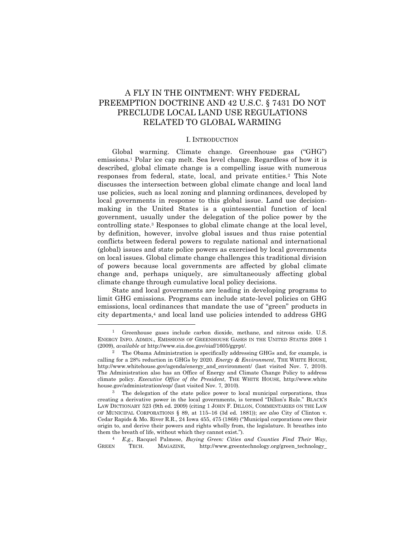# A FLY IN THE OINTMENT: WHY FEDERAL PREEMPTION DOCTRINE AND 42 U.S.C. § 7431 DO NOT PRECLUDE LOCAL LAND USE REGULATIONS RELATED TO GLOBAL WARMING

#### <span id="page-0-2"></span>I. INTRODUCTION

<span id="page-0-0"></span>Global warming. Climate change. Greenhouse gas ("GHG") emissions.<sup>1</sup> Polar ice cap melt. Sea level change. Regardless of how it is described, global climate change is a compelling issue with numerous responses from federal, state, local, and private entities.<sup>2</sup> This Note discusses the intersection between global climate change and local land use policies, such as local zoning and planning ordinances, developed by local governments in response to this global issue. Land use decisionmaking in the United States is a quintessential function of local government, usually under the delegation of the police power by the controlling state.<sup>3</sup> Responses to global climate change at the local level, by definition, however, involve global issues and thus raise potential conflicts between federal powers to regulate national and international (global) issues and state police powers as exercised by local governments on local issues. Global climate change challenges this traditional division of powers because local governments are affected by global climate change and, perhaps uniquely, are simultaneously affecting global climate change through cumulative local policy decisions.

<span id="page-0-1"></span>State and local governments are leading in developing programs to limit GHG emissions. Programs can include state-level policies on GHG emissions, local ordinances that mandate the use of "green" products in city departments, <sup>4</sup> and local land use policies intended to address GHG

<sup>1</sup> Greenhouse gases include carbon dioxide, methane, and nitrous oxide. U.S. ENERGY INFO. ADMIN., EMISSIONS OF GREENHOUSE GASES IN THE UNITED STATES 2008 1 (2009), *available at* http://www.eia.doe.gov/oiaf/1605/ggrpt/.

<sup>&</sup>lt;sup>2</sup> The Obama Administration is specifically addressing GHGs and, for example, is calling for a 28% reduction in GHGs by 2020. *Energy & Environment*, THE WHITE HOUSE, http://www.whitehouse.gov/agenda/energy\_and\_environment/ (last visited Nov. 7, 2010). The Administration also has an Office of Energy and Climate Change Policy to address climate policy. *Executive Office of the President*, THE WHITE HOUSE, http://www.white house.gov/administration/eop/ (last visited Nov. 7, 2010).

<sup>&</sup>lt;sup>3</sup> The delegation of the state police power to local municipal corporations, thus creating a derivative power in the local governments, is termed "Dillon's Rule." BLACK'S LAW DICTIONARY 523 (9th ed. 2009) (citing 1 JOHN F. DILLON, COMMENTARIES ON THE LAW OF MUNICIPAL CORPORATIONS § 89, at 115–16 (3d ed. 1881)); *see also* City of Clinton v. Cedar Rapids & Mo. River R.R., 24 Iowa 455, 475 (1868) ("Municipal corporations owe their origin to, and derive their powers and rights wholly from, the legislature. It breathes into them the breath of life, without which they cannot exist.").

<sup>4</sup> *E.g.*, Racquel Palmese, *Buying Green: Cities and Counties Find Their Way*, GREEN TECH. MAGAZINE, http://www.greentechnology.org/green\_technology\_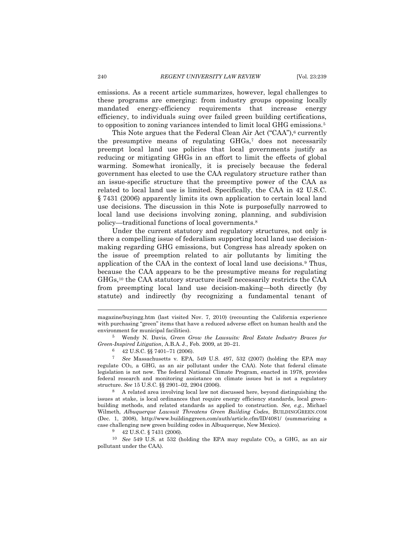emissions. As a recent article summarizes, however, legal challenges to these programs are emerging: from industry groups opposing locally mandated energy-efficiency requirements that increase energy efficiency, to individuals suing over failed green building certifications, to opposition to zoning variances intended to limit local GHG emissions.<sup>5</sup>

This Note argues that the Federal Clean Air Act ("CAA"),<sup>6</sup> currently the presumptive means of regulating GHGs,<sup>7</sup> does not necessarily preempt local land use policies that local governments justify as reducing or mitigating GHGs in an effort to limit the effects of global warming. Somewhat ironically, it is precisely because the federal government has elected to use the CAA regulatory structure rather than an issue-specific structure that the preemptive power of the CAA as related to local land use is limited. Specifically, the CAA in 42 U.S.C. § 7431 (2006) apparently limits its own application to certain local land use decisions. The discussion in this Note is purposefully narrowed to local land use decisions involving zoning, planning, and subdivision policy—traditional functions of local governments.<sup>8</sup>

Under the current statutory and regulatory structures, not only is there a compelling issue of federalism supporting local land use decisionmaking regarding GHG emissions, but Congress has already spoken on the issue of preemption related to air pollutants by limiting the application of the CAA in the context of local land use decisions.<sup>9</sup> Thus, because the CAA appears to be the presumptive means for regulating GHGs,<sup>10</sup> the CAA statutory structure itself necessarily restricts the CAA from preempting local land use decision-making—both directly (by statute) and indirectly (by recognizing a fundamental tenant of

magazine/buyingg.htm (last visited Nov. 7, 2010) (recounting the California experience with purchasing "green" items that have a reduced adverse effect on human health and the environment for municipal facilities).

<sup>5</sup> Wendy N. Davis, *Green Grow the Lawsuits: Real Estate Industry Braces for Green-Inspired Litigation*, A.B.A. J., Feb. 2009, at 20–21.

<sup>6</sup> 42 U.S.C. §§ 7401–71 (2006).

<sup>7</sup> *See* Massachusetts v. EPA, 549 U.S. 497, 532 (2007) (holding the EPA may regulate  $CO<sub>2</sub>$ , a GHG, as an air pollutant under the CAA). Note that federal climate legislation is not new. The federal National Climate Program, enacted in 1978, provides federal research and monitoring assistance on climate issues but is not a regulatory structure. *See* 15 U.S.C. §§ 2901–02, 2904 (2006).

<sup>8</sup> A related area involving local law not discussed here, beyond distinguishing the issues at stake, is local ordinances that require energy efficiency standards, local greenbuilding methods, and related standards as applied to construction. *See, e.g.*, Michael Wilmeth, *Albuquerque Lawsuit Threatens Green Building Codes*, BUILDINGGREEN.COM (Dec. 1, 2008), http://www.buildinggreen.com/auth/article.cfm/ID/4081/ (summarizing a case challenging new green building codes in Albuquerque, New Mexico).

<sup>9</sup> 42 U.S.C. § 7431 (2006).

<sup>10</sup> *See* 549 U.S. at 532 (holding the EPA may regulate CO2, a GHG, as an air pollutant under the CAA).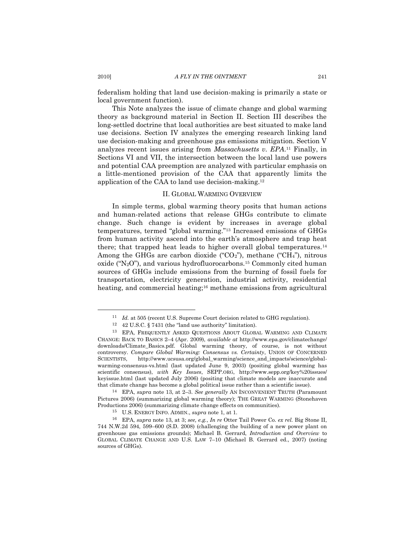federalism holding that land use decision-making is primarily a state or local government function).

This Note analyzes the issue of climate change and global warming theory as background material in Section II. Section III describes the long-settled doctrine that local authorities are best situated to make land use decisions. Section IV analyzes the emerging research linking land use decision-making and greenhouse gas emissions mitigation. Section V analyzes recent issues arising from *Massachusetts v. EPA*. <sup>11</sup> Finally, in Sections VI and VII, the intersection between the local land use powers and potential CAA preemption are analyzed with particular emphasis on a little-mentioned provision of the CAA that apparently limits the application of the CAA to land use decision-making.<sup>12</sup>

## <span id="page-2-1"></span><span id="page-2-0"></span>II. GLOBAL WARMING OVERVIEW

In simple terms, global warming theory posits that human actions and human-related actions that release GHGs contribute to climate change. Such change is evident by increases in average global temperatures, termed "global warming."<sup>13</sup> Increased emissions of GHGs from human activity ascend into the earth's atmosphere and trap heat there; that trapped heat leads to higher overall global temperatures.<sup>14</sup> Among the GHGs are carbon dioxide (" $CO<sub>2</sub>$ "), methane (" $CH<sub>4</sub>$ "), nitrous oxide (" $N_2O$ "), and various hydrofluorocarbons.<sup>15</sup> Commonly cited human sources of GHGs include emissions from the burning of fossil fuels for transportation, electricity generation, industrial activity, residential heating, and commercial heating;<sup>16</sup> methane emissions from agricultural

<sup>&</sup>lt;sup>11</sup> *Id.* at 505 (recent U.S. Supreme Court decision related to GHG regulation).

 $12$  42 U.S.C. § 7431 (the "land use authority" limitation).

<sup>13</sup> EPA, FREQUENTLY ASKED QUESTIONS ABOUT GLOBAL WARMING AND CLIMATE CHANGE: BACK TO BASICS 2–4 (Apr. 2009), *available at* http://www.epa.gov/climatechange/ downloads/Climate\_Basics.pdf. Global warming theory, of course, is not without controversy. *Compare Global Warming: Consensus vs. Certainty*, UNION OF CONCERNED SCIENTISTS, http://www.ucsusa.org/global\_warming/science\_and\_impacts/science/globalwarming-consensus-vs.html (last updated June 9, 2003) (positing global warming has scientific consensus), *with Key Issues*, SEPP.ORG, http://www.sepp.org/key%20issues/ keyissue.html (last updated July 2006) (positing that climate models are inaccurate and that climate change has become a global political issue rather than a scientific issue).

<sup>14</sup> EPA, *supra* not[e 13,](#page-2-0) at 2–3. *See generally* AN INCONVENIENT TRUTH (Paramount Pictures 2006) (summarizing global warming theory); THE GREAT WARMING (Stonehaven Productions 2006) (summarizing climate change effects on communities).

<sup>15</sup> U.S. ENERGY INFO. ADMIN., *supra* note [1,](#page-0-0) at 1.

<sup>16</sup> EPA, *supra* note [13,](#page-2-0) at 3; *see, e.g.*, *In re* Otter Tail Power Co. *ex rel.* Big Stone II, 744 N.W.2d 594, 599–600 (S.D. 2008) (challenging the building of a new power plant on greenhouse gas emissions grounds); Michael B. Gerrard, *Introduction and Overview* to GLOBAL CLIMATE CHANGE AND U.S. LAW 7–10 (Michael B. Gerrard ed., 2007) (noting sources of GHGs).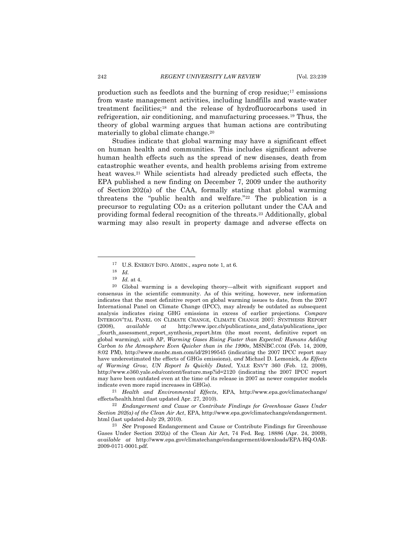production such as feedlots and the burning of crop residue;<sup>17</sup> emissions from waste management activities, including landfills and waste-water treatment facilities;<sup>18</sup> and the release of hydrofluorocarbons used in refrigeration, air conditioning, and manufacturing processes.<sup>19</sup> Thus, the theory of global warming argues that human actions are contributing materially to global climate change.<sup>20</sup>

Studies indicate that global warming may have a significant effect on human health and communities. This includes significant adverse human health effects such as the spread of new diseases, death from catastrophic weather events, and health problems arising from extreme heat waves.<sup>21</sup> While scientists had already predicted such effects, the EPA published a new finding on December 7, 2009 under the authority of Section 202(a) of the CAA, formally stating that global warming threatens the "public health and welfare." $22$  The publication is a precursor to regulating  $CO<sub>2</sub>$  as a criterion pollutant under the CAA and providing formal federal recognition of the threats.<sup>23</sup> Additionally, global warming may also result in property damage and adverse effects on

 $\overline{a}$ 

<sup>21</sup> *Health and Environmental Effects*, EPA, http://www.epa.gov/climatechange/ effects/health.html (last updated Apr. 27, 2010).

<sup>22</sup> *Endangerment and Cause or Contribute Findings for Greenhouse Gases Under Section 202(a) of the Clean Air Act*, EPA, http://www.epa.gov/climatechange/endangerment. html (last updated July 29, 2010).

<sup>23</sup> *See* Proposed Endangerment and Cause or Contribute Findings for Greenhouse Gases Under Section 202(a) of the Clean Air Act, 74 Fed. Reg. 18886 (Apr. 24, 2009), *available at* http://www.epa.gov/climatechange/endangerment/downloads/EPA-HQ-OAR-2009-0171-0001.pdf.

<span id="page-3-1"></span><span id="page-3-0"></span><sup>17</sup> U.S. ENERGY INFO. ADMIN., *supra* note [1,](#page-0-0) at 6.

<sup>18</sup> *Id.*

<sup>19</sup> *Id.* at 4.

<sup>20</sup> Global warming is a developing theory—albeit with significant support and consensus in the scientific community. As of this writing, however, new information indicates that the most definitive report on global warming issues to date, from the 2007 International Panel on Climate Change (IPCC), may already be outdated as subsequent analysis indicates rising GHG emissions in excess of earlier projections. *Compare* INTERGOV'TAL PANEL ON CLIMATE CHANGE, CLIMATE CHANGE 2007: SYNTHESIS REPORT (2008), *available at* http://www.ipcc.ch/publications\_and\_data/publications\_ipcc \_fourth\_assessment\_report\_synthesis\_report.htm (the most recent, definitive report on global warming), *with* AP, *Warming Gases Rising Faster than Expected: Humans Adding Carbon to the Atmosphere Even Quicker than in the 1990s*, MSNBC.COM (Feb. 14, 2009, 8:02 PM), http://www.msnbc.msn.com/id/29199545 (indicating the 2007 IPCC report may have underestimated the effects of GHGs emissions), *and* Michael D. Lemonick, *As Effects of Warming Grow, UN Report Is Quickly Dated*, YALE ENV'T 360 (Feb. 12, 2009), http://www.e360.yale.edu/content/feature.msp?id=2120 (indicating the 2007 IPCC report may have been outdated even at the time of its release in 2007 as newer computer models indicate even more rapid increases in GHGs).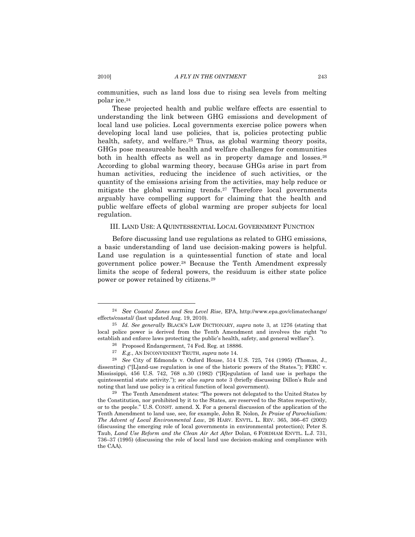<span id="page-4-2"></span>communities, such as land loss due to rising sea levels from melting polar ice.<sup>24</sup>

These projected health and public welfare effects are essential to understanding the link between GHG emissions and development of local land use policies. Local governments exercise police powers when developing local land use policies, that is, policies protecting public health, safety, and welfare.<sup>25</sup> Thus, as global warming theory posits, GHGs pose measureable health and welfare challenges for communities both in health effects as well as in property damage and losses.<sup>26</sup> According to global warming theory, because GHGs arise in part from human activities, reducing the incidence of such activities, or the quantity of the emissions arising from the activities, may help reduce or mitigate the global warming trends.<sup>27</sup> Therefore local governments arguably have compelling support for claiming that the health and public welfare effects of global warming are proper subjects for local regulation.

## <span id="page-4-1"></span><span id="page-4-0"></span>III. LAND USE: A QUINTESSENTIAL LOCAL GOVERNMENT FUNCTION

Before discussing land use regulations as related to GHG emissions, a basic understanding of land use decision-making powers is helpful. Land use regulation is a quintessential function of state and local government police power.<sup>28</sup> Because the Tenth Amendment expressly limits the scope of federal powers, the residuum is either state police power or power retained by citizens.<sup>29</sup>

<sup>24</sup> *See Coastal Zones and Sea Level Rise*, EPA, http://www.epa.gov/climatechange/ effects/coastal/ (last updated Aug. 19, 2010).

<sup>25</sup> *Id. See generally* BLACK'S LAW DICTIONARY, *supra* note [3,](#page-0-1) at 1276 (stating that local police power is derived from the Tenth Amendment and involves the right "to establish and enforce laws protecting the public's health, safety, and general welfare").

<sup>26</sup> Proposed Endangerment, 74 Fed. Reg. at 18886.

<sup>27</sup> *E.g.*, AN INCONVENIENT TRUTH, *supra* not[e 14.](#page-2-1)

<sup>28</sup> *See* City of Edmonds v. Oxford House, 514 U.S. 725, 744 (1995) (Thomas, J., dissenting) ("[L]and-use regulation is one of the historic powers of the States."); FERC v. Mississippi, 456 U.S. 742, 768 n.30 (1982) ("Regulation of land use is perhaps the quintessential state activity."); *see also supra* note [3](#page-0-1) (briefly discussing Dillon's Rule and noting that land use policy is a critical function of local government).

<sup>&</sup>lt;sup>29</sup> The Tenth Amendment states: "The powers not delegated to the United States by the Constitution, nor prohibited by it to the States, are reserved to the States respectively, or to the people.‖ U.S. CONST. amend. X. For a general discussion of the application of the Tenth Amendment to land use, see, for example, John R. Nolon, *In Praise of Parochialism: The Advent of Local Environmental Law*, 26 HARV. ENVTL. L. REV. 365, 366–67 (2002) (discussing the emerging role of local governments in environmental protection); Peter S. Taub, *Land Use Reform and the Clean Air Act After* Dolan, 6 FORDHAM ENVTL. L.J. 731, 736–37 (1995) (discussing the role of local land use decision-making and compliance with the CAA).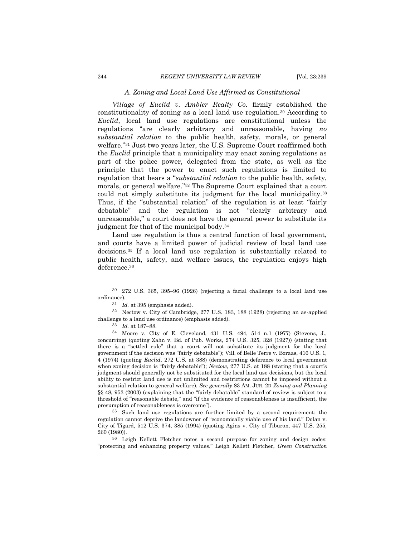## *A. Zoning and Local Land Use Affirmed as Constitutional*

*Village of Euclid v. Ambler Realty Co.* firmly established the constitutionality of zoning as a local land use regulation.<sup>30</sup> According to *Euclid*, local land use regulations are constitutional unless the regulations "are clearly arbitrary and unreasonable, having *no substantial relation* to the public health, safety, morals, or general welfare."<sup>31</sup> Just two years later, the U.S. Supreme Court reaffirmed both the *Euclid* principle that a municipality may enact zoning regulations as part of the police power, delegated from the state, as well as the principle that the power to enact such regulations is limited to regulation that bears a "*substantial relation* to the public health, safety, morals, or general welfare."<sup>32</sup> The Supreme Court explained that a court could not simply substitute its judgment for the local municipality.<sup>33</sup> Thus, if the "substantial relation" of the regulation is at least "fairly debatable" and the regulation is not "clearly arbitrary and unreasonable,‖ a court does not have the general power to substitute its judgment for that of the municipal body.<sup>34</sup>

<span id="page-5-0"></span>Land use regulation is thus a central function of local government, and courts have a limited power of judicial review of local land use decisions.<sup>35</sup> If a local land use regulation is substantially related to public health, safety, and welfare issues, the regulation enjoys high deference.<sup>36</sup>

<sup>35</sup> Such land use regulations are further limited by a second requirement: the regulation cannot deprive the landowner of "economically viable use of his land." Dolan y. City of Tigard, 512 U.S. 374, 385 (1994) (quoting Agins v. City of Tiburon, 447 U.S. 255, 260 (1980)).

<sup>36</sup> Leigh Kellett Fletcher notes a second purpose for zoning and design codes: ―protecting and enhancing property values.‖ Leigh Kellett Fletcher, *Green Construction* 

<span id="page-5-1"></span><sup>30</sup> 272 U.S. 365, 395–96 (1926) (rejecting a facial challenge to a local land use ordinance).

<sup>31</sup> *Id.* at 395 (emphasis added).

<sup>32</sup> Nectow v. City of Cambridge, 277 U.S. 183, 188 (1928) (rejecting an as-applied challenge to a land use ordinance) (emphasis added).

<sup>33</sup> *Id.* at 187–88.

<sup>34</sup> Moore v. City of E. Cleveland, 431 U.S. 494, 514 n.1 (1977) (Stevens, J., concurring) (quoting Zahn v. Bd. of Pub. Works, 274 U.S. 325, 328 (1927)) (stating that there is a "settled rule" that a court will not substitute its judgment for the local government if the decision was "fairly debatable"); Vill. of Belle Terre v. Boraas, 416 U.S. 1, 4 (1974) (quoting *Euclid*, 272 U.S. at 388) (demonstrating deference to local government when zoning decision is "fairly debatable"); *Nectow*, 277 U.S. at 188 (stating that a court's judgment should generally not be substituted for the local land use decisions, but the local ability to restrict land use is not unlimited and restrictions cannot be imposed without a substantial relation to general welfare)*. See generally* 83 AM. JUR. 2D *Zoning and Planning*  $\S$ § 48, 953 (2003) (explaining that the "fairly debatable" standard of review is subject to a threshold of "reasonable debate," and "if the evidence of reasonableness is insufficient, the presumption of reasonableness is overcome").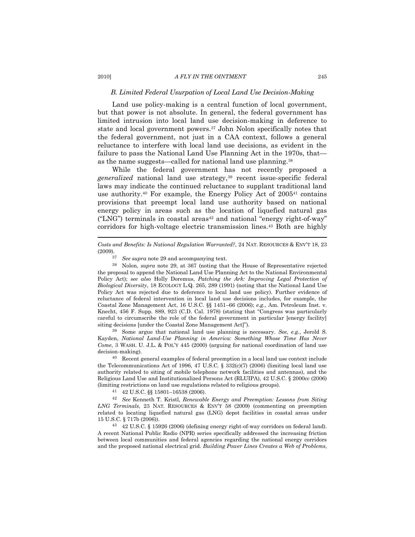#### 2010] *A FLY IN THE OINTMENT* 245

### *B. Limited Federal Usurpation of Local Land Use Decision-Making*

Land use policy-making is a central function of local government, but that power is not absolute. In general, the federal government has limited intrusion into local land use decision-making in deference to state and local government powers.<sup>37</sup> John Nolon specifically notes that the federal government, not just in a CAA context, follows a general reluctance to interfere with local land use decisions, as evident in the failure to pass the National Land Use Planning Act in the 1970s, that as the name suggests—called for national land use planning.<sup>38</sup>

<span id="page-6-1"></span>While the federal government has not recently proposed a *generalized* national land use strategy,<sup>39</sup> recent issue-specific federal laws may indicate the continued reluctance to supplant traditional land use authority.<sup>40</sup> For example, the Energy Policy Act of 2005<sup>41</sup> contains provisions that preempt local land use authority based on national energy policy in areas such as the location of liquefied natural gas ("LNG") terminals in coastal areas<sup>42</sup> and national "energy right-of-way" corridors for high-voltage electric transmission lines.<sup>43</sup> Both are highly

*Costs and Benefits: Is National Regulation Warranted?*, 24 NAT. RESOURCES & ENV'T 18, 23 (2009).

<span id="page-6-0"></span><sup>37</sup> *See supra* not[e 29](#page-4-0) and accompanying text.

<sup>39</sup> Some argue that national land use planning is necessary. *See, e.g.*, Jerold S. Kayden, *National Land-Use Planning in America: Something Whose Time Has Never Come*, 3 WASH. U. J.L. & POL'Y 445 (2000) (arguing for national coordination of land use decision-making).

<sup>40</sup> Recent general examples of federal preemption in a local land use context include the Telecommunications Act of 1996, 47 U.S.C.  $\S$  332(c)(7) (2006) (limiting local land use authority related to siting of mobile telephone network facilities and antennas), and the Religious Land Use and Institutionalized Persons Act (RLUIPA), 42 U.S.C. § 2000cc (2006) (limiting restrictions on land use regulations related to religious groups).

<sup>41</sup> 42 U.S.C. §§ 15801–16538 (2006).

<sup>42</sup> *See* Kenneth T. Kristl, *Renewable Energy and Preemption: Lessons from Siting LNG Terminals*, 23 NAT. RESOURCES & ENV'T 58 (2009) (commenting on preemption related to locating liquefied natural gas (LNG) depot facilities in coastal areas under 15 U.S.C. § 717b (2006)).

<sup>43</sup> 42 U.S.C. § 15926 (2006) (defining energy right-of-way corridors on federal land). A recent National Public Radio (NPR) series specifically addressed the increasing friction between local communities and federal agencies regarding the national energy corridors and the proposed national electrical grid. *Building Power Lines Creates a Web of Problems*,

<sup>38</sup> Nolon, *supra* note [29,](#page-4-0) at 367 (noting that the House of Representative rejected the proposal to append the National Land Use Planning Act to the National Environmental Policy Act); *see also* Holly Doremus, *Patching the Ark: Improving Legal Protection of Biological Diversity*, 18 ECOLOGY L.Q. 265, 289 (1991) (noting that the National Land Use Policy Act was rejected due to deference to local land use policy). Further evidence of reluctance of federal intervention in local land use decisions includes, for example, the Coastal Zone Management Act, 16 U.S.C. §§ 1451–66 (2006); *e.g.*, Am. Petroleum Inst. v. Knecht, 456 F. Supp. 889, 923 (C.D. Cal. 1978) (stating that "Congress was particularly careful to circumscribe the role of the federal government in particular [energy facility] siting decisions [under the Coastal Zone Management Act]").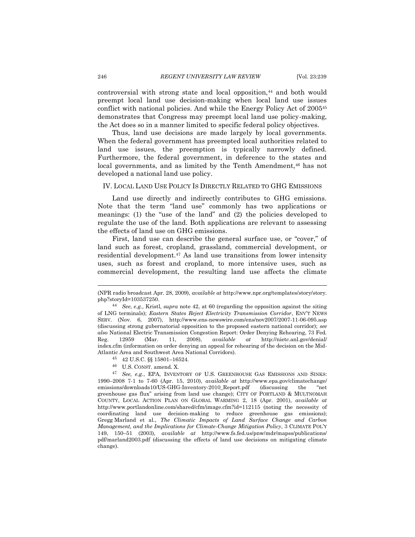controversial with strong state and local opposition,<sup>44</sup> and both would preempt local land use decision-making when local land use issues conflict with national policies. And while the Energy Policy Act of 2005<sup>45</sup> demonstrates that Congress may preempt local land use policy-making, the Act does so in a manner limited to specific federal policy objectives.

Thus, land use decisions are made largely by local governments. When the federal government has preempted local authorities related to land use issues, the preemption is typically narrowly defined. Furthermore, the federal government, in deference to the states and local governments, and as limited by the Tenth Amendment,  $46$  has not developed a national land use policy.

#### IV. LOCAL LAND USE POLICY IS DIRECTLY RELATED TO GHG EMISSIONS

Land use directly and indirectly contributes to GHG emissions. Note that the term "land use" commonly has two applications or meanings: (1) the "use of the land" and  $(2)$  the policies developed to regulate the use of the land. Both applications are relevant to assessing the effects of land use on GHG emissions.

<span id="page-7-0"></span>First, land use can describe the general surface use, or "cover," of land such as forest, cropland, grassland, commercial development, or residential development.<sup>47</sup> As land use transitions from lower intensity uses, such as forest and cropland, to more intensive uses, such as commercial development, the resulting land use affects the climate

- <sup>45</sup> 42 U.S.C. §§ 15801–16524.
- <sup>46</sup> U.S. CONST. amend. X.

<sup>(</sup>NPR radio broadcast Apr. 28, 2009), *available at* http://www.npr.org/templates/story/story. php?storyId=103537250.

<sup>44</sup> *See*, *e.g.*, Kristl, *supra* note [42,](#page-6-0) at 60 (regarding the opposition against the siting of LNG terminals); *Eastern States Reject Electricity Transmission Corridor*, ENV'T NEWS SERV. (Nov. 6, 2007), http://www.ens-newswire.com/ens/nov2007/2007-11-06-095.asp (discussing strong gubernatorial opposition to the proposed eastern national corridor); *see also* National Electric Transmission Congestion Report: Order Denying Rehearing, 73 Fed. Reg. 12959 (Mar. 11, 2008), *available at* http://nietc.anl.gov/denial/ index.cfm (information on order denying an appeal for rehearing of the decision on the Mid-Atlantic Area and Southwest Area National Corridors).

<sup>47</sup> *See, e.g.*, EPA, INVENTORY OF U.S. GREENHOUSE GAS EMISSIONS AND SINKS: 1990–2008 7-1 to 7-60 (Apr. 15, 2010), *available at* http://www.epa.gov/climatechange/ emissions/downloads10/US-GHG-Inventory-2010\_Report.pdf (discussing the "net greenhouse gas flux‖ arising from land use change); CITY OF PORTLAND & MULTNOMAH COUNTY, LOCAL ACTION PLAN ON GLOBAL WARMING 2, 18 (Apr. 2001), *available at* http://www.portlandonline.com/shared/cfm/image.cfm?id=112115 (noting the necessity of coordinating land use decision-making to reduce greenhouse gas emissions); Gregg Marland et al., *The Climatic Impacts of Land Surface Change and Carbon Management, and the Implications for Climate-Change Mitigation Policy*, 3 CLIMATE POL'Y 149, 150–51 (2003), *available at* http://www.fs.fed.us/pnw/mdr/mapss/publications/ pdf/marland2003.pdf (discussing the effects of land use decisions on mitigating climate change).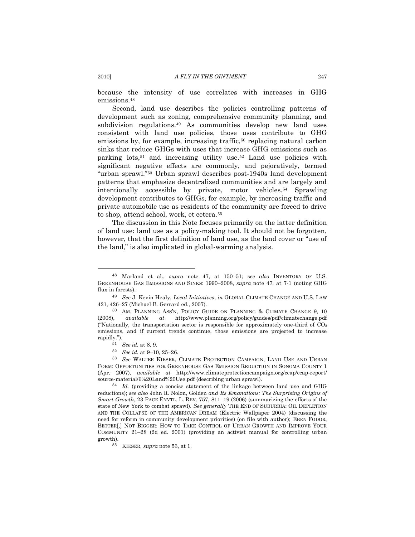because the intensity of use correlates with increases in GHG emissions.<sup>48</sup>

<span id="page-8-1"></span>Second, land use describes the policies controlling patterns of development such as zoning, comprehensive community planning, and subdivision regulations.<sup>49</sup> As communities develop new land uses consistent with land use policies, those uses contribute to GHG emissions by, for example, increasing traffic,<sup>50</sup> replacing natural carbon sinks that reduce GHGs with uses that increase GHG emissions such as parking  $\frac{1}{2}$  lots,<sup>51</sup> and increasing utility use.<sup>52</sup> Land use policies with significant negative effects are commonly, and pejoratively, termed ―urban sprawl.‖<sup>53</sup> Urban sprawl describes post-1940s land development patterns that emphasize decentralized communities and are largely and intentionally accessible by private, motor vehicles.<sup>54</sup> Sprawling development contributes to GHGs, for example, by increasing traffic and private automobile use as residents of the community are forced to drive to shop, attend school, work, et cetera.<sup>55</sup>

<span id="page-8-2"></span><span id="page-8-0"></span>The discussion in this Note focuses primarily on the latter definition of land use: land use as a policy-making tool. It should not be forgotten, however, that the first definition of land use, as the land cover or "use of the land," is also implicated in global-warming analysis.

<sup>48</sup> Marland et al., *supra* note [47,](#page-7-0) at 150–51; s*ee also* INVENTORY OF U.S. GREENHOUSE GAS EMISSIONS AND SINKS: 1990–2008, *supra* note [47,](#page-7-0) at 7-1 (noting GHG flux in forests).

<sup>49</sup> *See* J. Kevin Healy, *Local Initiatives*, *in* GLOBAL CLIMATE CHANGE AND U.S. LAW 421, 426–27 (Michael B. Gerrard ed., 2007).

<sup>50</sup> AM. PLANNING ASS'N, POLICY GUIDE ON PLANNING & CLIMATE CHANGE 9, 10 (2008), *available at* http://www.planning.org/policy/guides/pdf/climatechange.pdf ("Nationally, the transportation sector is responsible for approximately one-third of  $CO<sub>2</sub>$ emissions, and if current trends continue, those emissions are projected to increase rapidly.").

<sup>51</sup> *See id.* at 8, 9.

<sup>52</sup> *See id.* at 9–10, 25–26.

<sup>53</sup> *See* WALTER KIESER, CLIMATE PROTECTION CAMPAIGN, LAND USE AND URBAN FORM: OPPORTUNITIES FOR GREENHOUSE GAS EMISSION REDUCTION IN SONOMA COUNTY 1 (Apr. 2007), *available at* http://www.climateprotectioncampaign.org/ccap/ccap-report/ source-material/6%20Land%20Use.pdf (describing urban sprawl).

<sup>54</sup> *Id.* (providing a concise statement of the linkage between land use and GHG reductions); *see also* John R. Nolon, Golden *and Its Emanations: The Surprising Origins of Smart Growth*, 23 PACE ENVTL. L. REV. 757, 811–19 (2006) (summarizing the efforts of the state of New York to combat sprawl). *See generally* THE END OF SUBURBIA: OIL DEPLETION AND THE COLLAPSE OF THE AMERICAN DREAM (Electric Wallpaper 2004) (discussing the need for reform in community development priorities) (on file with author); EBEN FODOR, BETTER[,] NOT BIGGER: HOW TO TAKE CONTROL OF URBAN GROWTH AND IMPROVE YOUR COMMUNITY 21–28 (2d ed. 2001) (providing an activist manual for controlling urban growth).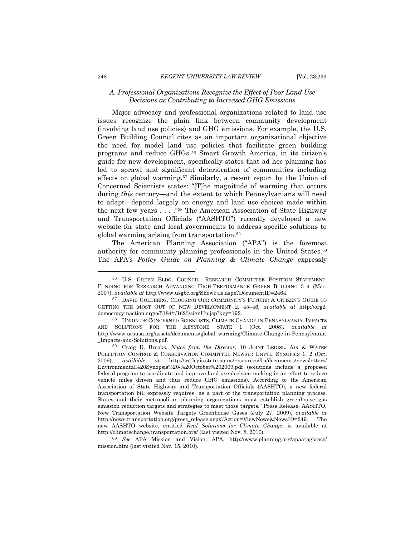## *A. Professional Organizations Recognize the Effect of Poor Land Use Decisions as Contributing to Increased GHG Emissions*

Major advocacy and professional organizations related to land use issues recognize the plain link between community development (involving land use policies) and GHG emissions. For example, the U.S. Green Building Council cites as an important organizational objective the need for model land use policies that facilitate green building programs and reduce GHGs.<sup>56</sup> Smart Growth America, in its citizen's guide for new development, specifically states that ad hoc planning has led to sprawl and significant deterioration of communities including effects on global warming.<sup>57</sup> Similarly, a recent report by the Union of Concerned Scientists states: "[T]he magnitude of warming that occurs during *this* century—and the extent to which Pennsylvanians will need to adapt—depend largely on energy and land-use choices made within the next few years  $\ldots$ ."<sup>58</sup> The American Association of State Highway and Transportation Officials ("AASHTO") recently developed a new website for state and local governments to address specific solutions to global warming arising from transportation.<sup>59</sup>

The American Planning Association ("APA") is the foremost authority for community planning professionals in the United States.<sup>60</sup> The APA's *Policy Guide on Planning & Climate Change* expressly

<sup>60</sup> *See* APA Mission and Vision, APA, http://www.planning.org/apaataglance/ mission.htm (last visited Nov. 15, 2010).

<sup>56</sup> U.S. GREEN BLDG. COUNCIL, RESEARCH COMMITTEE POSITION STATEMENT: FUNDING FOR RESEARCH ADVANCING HIGH-PERFORMANCE GREEN BUILDING 3–4 (Mar. 2007), *available at* http://www.usgbc.org/ShowFile.aspx?DocumentID=2464.

<sup>57</sup> DAVID GOLDBERG, CHOOSING OUR COMMUNITY'S FUTURE: A CITIZEN'S GUIDE TO GETTING THE MOST OUT OF NEW DEVELOPMENT 2, 45–46, *available at* http://org2. democracyinaction.org/o/5184/t/1623/signUp.jsp?key=192.

<sup>58</sup> UNION OF CONCERNED SCIENTISTS, CLIMATE CHANGE IN PENNSYLVANIA: IMPACTS AND SOLUTIONS FOR THE KEYSTONE STATE 1 (Oct. 2008), *available at*  http://www.ucsusa.org/assets/documents/global\_warming/Climate-Change-in-Pennsylvania \_Impacts-and-Solutions.pdf.

<sup>59</sup> Craig D. Brooks, *Notes from the Director,* 10 JOINT LEGISL. AIR & WATER POLLUTION CONTROL & CONSERVATION COMMITTEE NEWSL.: ENVTL. SYNOPSIS 1, 2 (Oct. 2009), *available at* http://jcc.legis.state.pa.us/resources/ftp/documents/newsletters/ Environmental%20Synopsis%20-%20October%202009.pdf (solutions include a proposed federal program to coordinate and improve land use decision-making in an effort to reduce vehicle miles driven and thus reduce GHG emissions). According to the American Association of State Highway and Transportation Officials (AASHTO), a new federal transportation bill expressly requires "as a part of the transportation planning process, States and their metropolitan planning organizations must establish greenhouse gas emission reduction targets and strategies to meet those targets.‖ Press Release, AASHTO, New Transportation Website Targets Greenhouse Gases (July 27, 2009), *available at*  http://news.transportation.org/press\_release.aspx?Action=ViewNews&NewsID=249. The new AASHTO website, entitled *Real Solutions for Climate Change*, is available at http://climatechange.transportation.org/ (last visited Nov. 8, 2010).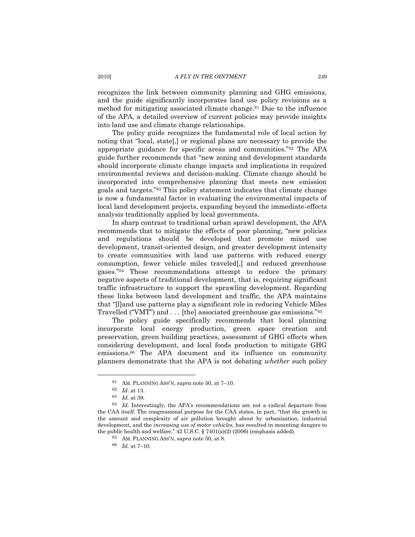recognizes the link between community planning and GHG emissions, and the guide significantly incorporates land use policy revisions as a method for mitigating associated climate change.<sup>61</sup> Due to the influence of the APA, a detailed overview of current policies may provide insights into land use and climate change relationships.

The policy guide recognizes the fundamental role of local action by noting that "local, state[,] or regional plans are necessary to provide the appropriate guidance for specific areas and communities."<sup>62</sup> The APA guide further recommends that "new zoning and development standards" should incorporate climate change impacts and implications in required environmental reviews and decision-making. Climate change should be incorporated into comprehensive planning that meets new emission goals and targets."<sup>63</sup> This policy statement indicates that climate change is now a fundamental factor in evaluating the environmental impacts of local land development projects, expanding beyond the immediate-effects analysis traditionally applied by local governments.

In sharp contrast to traditional urban sprawl development, the APA recommends that to mitigate the effects of poor planning, "new policies and regulations should be developed that promote mixed use development, transit-oriented design, and greater development intensity to create communities with land use patterns with reduced energy consumption, fewer vehicle miles traveled[,] and reduced greenhouse gases."<sup>64</sup> These recommendations attempt to reduce the primary negative aspects of traditional development, that is, requiring significant traffic infrastructure to support the sprawling development. Regarding these links between land development and traffic, the APA maintains that ―[l]and use patterns play a significant role in reducing Vehicle Miles Travelled ("VMT") and  $\dots$  [the] associated greenhouse gas emissions."<sup>65</sup>

The policy guide specifically recommends that local planning incorporate local energy production, green space creation and preservation, green building practices, assessment of GHG effects when considering development, and local foods production to mitigate GHG emissions.<sup>66</sup> The APA document and its influence on community planners demonstrate that the APA is not debating *whether* such policy

<sup>61</sup> AM. PLANNING ASS'N, *supra* not[e 50,](#page-8-1) at 7–10.

<sup>62</sup> *Id*. at 13.

<sup>63</sup> *Id.* at 39.

<sup>64</sup> *Id.* Interestingly, the APA's recommendations are not a radical departure from the CAA itself. The congressional purpose for the CAA states, in part, "that the growth in the amount and complexity of air pollution brought about by urbanization, industrial development, and the *increasing use of motor vehicles*, has resulted in mounting dangers to the public health and welfare."  $42 \text{ U.S.C.}$  §  $7401(a)(2)$  (2006) (emphasis added).

<sup>65</sup> AM. PLANNING ASS'N, *supra* not[e 50,](#page-8-1) at 8.

<sup>66</sup> *Id.* at 7–10.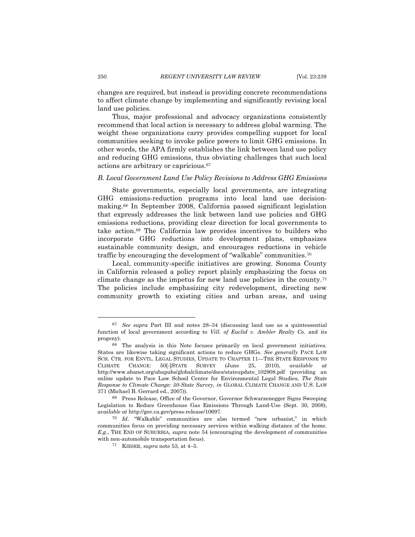changes are required, but instead is providing concrete recommendations to affect climate change by implementing and significantly revising local land use policies.

Thus, major professional and advocacy organizations consistently recommend that local action is necessary to address global warming. The weight these organizations carry provides compelling support for local communities seeking to invoke police powers to limit GHG emissions. In other words, the APA firmly establishes the link between land use policy and reducing GHG emissions, thus obviating challenges that such local actions are arbitrary or capricious.<sup>67</sup>

## *B. Local Government Land Use Policy Revisions to Address GHG Emissions*

State governments, especially local governments, are integrating GHG emissions-reduction programs into local land use decisionmaking.<sup>68</sup> In September 2008, California passed significant legislation that expressly addresses the link between land use policies and GHG emissions reductions, providing clear direction for local governments to take action.<sup>69</sup> The California law provides incentives to builders who incorporate GHG reductions into development plans, emphasizes sustainable community design, and encourages reductions in vehicle traffic by encouraging the development of "walkable" communities.<sup>70</sup>

Local, community-specific initiatives are growing. Sonoma County in California released a policy report plainly emphasizing the focus on climate change as the impetus for new land use policies in the county.<sup>71</sup> The policies include emphasizing city redevelopment, directing new community growth to existing cities and urban areas, and using

<sup>67</sup> *See supra* Part III and notes [28](#page-4-1)–[34](#page-5-0) (discussing land use as a quintessential function of local government according to *Vill. of Euclid v. Ambler Realty Co.* and its progeny).

<sup>68</sup> The analysis in this Note focuses primarily on local government initiatives. States are likewise taking significant actions to reduce GHGs. *See generally* PACE LAW SCH. CTR. FOR ENVTL. LEGAL STUDIES, UPDATE TO CHAPTER 11—THE STATE RESPONSE TO CLIMATE CHANGE: 50[-]STATE SURVEY (June 25, 2010), *available at* http://www.abanet.org/abapubs/globalclimate/docs/stateupdate\_102908.pdf (providing an online update to Pace Law School Center for Environmental Legal Studies, *The State Response to Climate Change: 50-State Survey, in* GLOBAL CLIMATE CHANGE AND U.S. LAW 371 (Michael B. Gerrard ed., 2007)).

<sup>69</sup> Press Release, Office of the Governor, Governor Schwarzenegger Signs Sweeping Legislation to Reduce Greenhouse Gas Emissions Through Land-Use (Sept. 30, 2008), *available at* http://gov.ca.gov/press-release/10697.

<sup>&</sup>lt;sup>70</sup> *Id.* "Walkable" communities are also termed "new urbanist." in which communities focus on providing necessary services within walking distance of the home. *E.g.*, THE END OF SUBURBIA, *supra* note [54](#page-8-2) (encouraging the development of communities with non-automobile transportation focus).

<sup>&</sup>lt;sup>71</sup> KIESER, *supra* not[e 53,](#page-8-0) at  $4-5$ .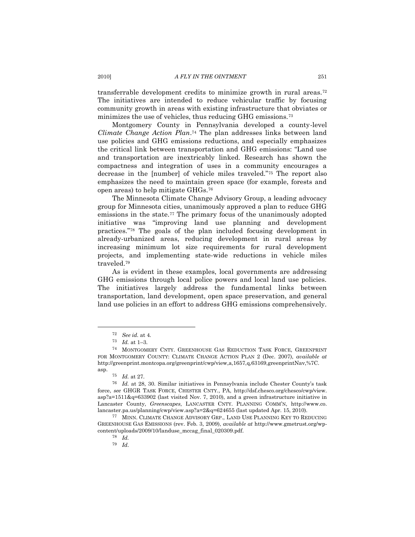transferrable development credits to minimize growth in rural areas.<sup>72</sup> The initiatives are intended to reduce vehicular traffic by focusing community growth in areas with existing infrastructure that obviates or minimizes the use of vehicles, thus reducing GHG emissions.<sup>73</sup>

Montgomery County in Pennsylvania developed a county-level *Climate Change Action Plan*. <sup>74</sup> The plan addresses links between land use policies and GHG emissions reductions, and especially emphasizes the critical link between transportation and GHG emissions: "Land use and transportation are inextricably linked. Research has shown the compactness and integration of uses in a community encourages a decrease in the [number] of vehicle miles traveled."<sup>75</sup> The report also emphasizes the need to maintain green space (for example, forests and open areas) to help mitigate GHGs.<sup>76</sup>

The Minnesota Climate Change Advisory Group, a leading advocacy group for Minnesota cities, unanimously approved a plan to reduce GHG emissions in the state.<sup>77</sup> The primary focus of the unanimously adopted initiative was "improving land use planning and development practices.‖<sup>78</sup> The goals of the plan included focusing development in already-urbanized areas, reducing development in rural areas by increasing minimum lot size requirements for rural development projects, and implementing state-wide reductions in vehicle miles traveled.<sup>79</sup>

As is evident in these examples, local governments are addressing GHG emissions through local police powers and local land use policies. The initiatives largely address the fundamental links between transportation, land development, open space preservation, and general land use policies in an effort to address GHG emissions comprehensively.

 $\overline{a}$ 

<sup>77</sup> MINN. CLIMATE CHANGE ADVISORY GRP., LAND USE PLANNING KEY TO REDUCING GREENHOUSE GAS EMISSIONS (rev. Feb. 3, 2009), *available at* http://www.gmetrust.org/wpcontent/uploads/2009/10/landuse\_mccag\_final\_020309.pdf.

<sup>72</sup> *See id.* at 4.

<sup>73</sup> *Id.* at 1–3.

<sup>74</sup> MONTGOMERY CNTY. GREENHOUSE GAS REDUCTION TASK FORCE, GREENPRINT FOR MONTGOMERY COUNTY: CLIMATE CHANGE ACTION PLAN 2 (Dec. 2007), *available at* http://greenprint.montcopa.org/greenprint/cwp/view,a,1657,q,63169,greenprintNav,%7C. asp.

<sup>75</sup> *Id.* at 27.

<sup>76</sup> *Id.* at 28, 30. Similar initiatives in Pennsylvania include Chester County's task force, *see* GHGR TASK FORCE, CHESTER CNTY., PA, http://dsf.chesco.org/chesco/cwp/view.  $a$ sp?a=1511&q=633902 (last visited Nov. 7, 2010), and a green infrastructure initiative in Lancaster County, *Greenscapes*, LANCASTER CNTY. PLANNING COMM'N, http://www.co. lancaster.pa.us/planning/cwp/view.asp?a=2&q=624655 (last updated Apr. 15, 2010).

<sup>78</sup> *Id.*

<sup>79</sup> *Id*.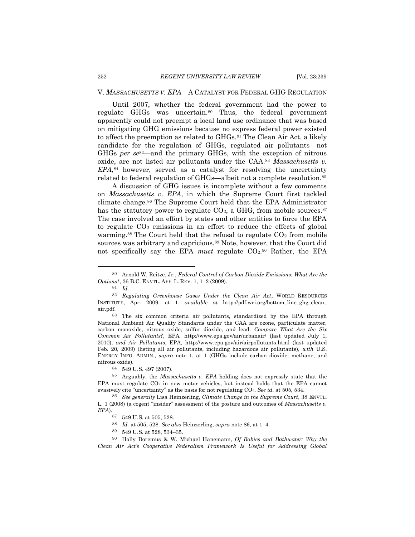### V. *MASSACHUSETTS V. EPA*—A CATALYST FOR FEDERAL GHG REGULATION

Until 2007, whether the federal government had the power to regulate GHGs was uncertain.<sup>80</sup> Thus, the federal government apparently could not preempt a local land use ordinance that was based on mitigating GHG emissions because no express federal power existed to affect the preemption as related to GHGs.<sup>81</sup> The Clean Air Act, a likely candidate for the regulation of GHGs, regulated air pollutants—not GHGs *per se*82—and the primary GHGs, with the exception of nitrous oxide, are not listed air pollutants under the CAA.<sup>83</sup> *Massachusetts v. EPA*, <sup>84</sup> however, served as a catalyst for resolving the uncertainty related to federal regulation of GHGs—albeit not a complete resolution.<sup>85</sup>

<span id="page-13-0"></span>A discussion of GHG issues is incomplete without a few comments on *Massachusetts v. EPA*, in which the Supreme Court first tackled climate change.<sup>86</sup> The Supreme Court held that the EPA Administrator has the statutory power to regulate  $CO<sub>2</sub>$ , a GHG, from mobile sources.<sup>87</sup> The case involved an effort by states and other entities to force the EPA to regulate  $CO<sub>2</sub>$  emissions in an effort to reduce the effects of global warming.<sup>88</sup> The Court held that the refusal to regulate  $CO<sub>2</sub>$  from mobile sources was arbitrary and capricious.<sup>89</sup> Note, however, that the Court did not specifically say the EPA *must* regulate CO<sub>2</sub>.<sup>90</sup> Rather, the EPA

 $\overline{a}$ 

<sup>84</sup> 549 U.S. 497 (2007).

<sup>85</sup> Arguably, the *Massachusetts v. EPA* holding does not expressly state that the EPA must regulate  $CO<sub>2</sub>$  in new motor vehicles, but instead holds that the EPA cannot evasively cite "uncertainty" as the basis for not regulating  $CO<sub>2</sub>$ . *See id.* at 505, 534.

<sup>86</sup> *See generally* Lisa Heinzerling, *Climate Change in the Supreme Court*, 38 ENVTL. L. 1 (2008) (a cogent "insider" assessment of the posture and outcomes of *Massachusetts v. EPA*).

<sup>90</sup> Holly Doremus & W. Michael Hanemann, *Of Babies and Bathwater: Why the Clean Air Act's Cooperative Federalism Framework Is Useful for Addressing Global* 

<sup>80</sup> Arnold W. Reitze, Jr., *Federal Control of Carbon Dioxide Emissions: What Are the Options?*, 36 B.C. ENVTL. AFF. L. REV. 1, 1–2 (2009).

<span id="page-13-1"></span><sup>81</sup> *Id.*

<sup>82</sup> *Regulating Greenhouse Gases Under the Clean Air Act*, WORLD RESOURCES INSTITUTE, Apr. 2009, at 1, *available at* http://pdf.wri.org/bottom\_line\_ghg\_clean\_ air.pdf.

<sup>83</sup> The six common criteria air pollutants, standardized by the EPA through National Ambient Air Quality Standards under the CAA are ozone, particulate matter, carbon monoxide, nitrous oxide, sulfur dioxide, and lead. *Compare What Are the Six Common Air Pollutants?*, EPA, http://www.epa.gov/air/urbanair/ (last updated July 1, 2010), *and Air Pollutants*, EPA, http://www.epa.gov/air/airpollutants.html (last updated Feb. 20, 2009) (listing all air pollutants, including hazardous air pollutants), *with* U.S. ENERGY INFO. ADMIN., *supra* note [1,](#page-0-0) at 1 (GHGs include carbon dioxide, methane, and nitrous oxide).

<sup>87</sup> 549 U.S. at 505, 528.

<sup>88</sup> *Id.* at 505, 528. *See also* Heinzerling, *supra* not[e 86,](#page-13-0) at 1–4.

<sup>89</sup> 549 U.S. at 528, 534–35.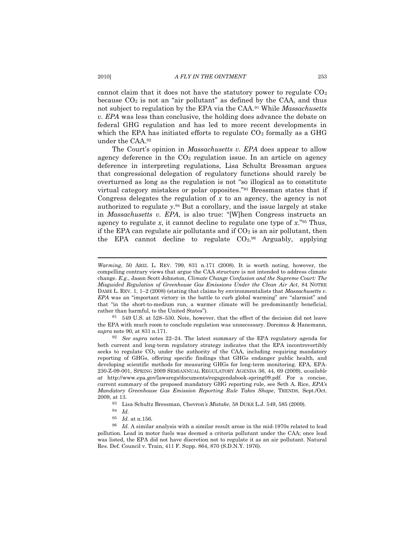cannot claim that it does not have the statutory power to regulate  $CO<sub>2</sub>$ because  $CO<sub>2</sub>$  is not an "air pollutant" as defined by the CAA, and thus not subject to regulation by the EPA via the CAA.<sup>91</sup> While *Massachusetts v. EPA* was less than conclusive, the holding does advance the debate on federal GHG regulation and has led to more recent developments in which the EPA has initiated efforts to regulate  $CO<sub>2</sub>$  formally as a GHG under the CAA.<sup>92</sup>

<span id="page-14-0"></span>The Court's opinion in *Massachusetts v. EPA* does appear to allow agency deference in the  $CO<sub>2</sub>$  regulation issue. In an article on agency deference in interpreting regulations, Lisa Schultz Bressman argues that congressional delegation of regulatory functions should rarely be overturned as long as the regulation is not "so illogical as to constitute virtual category mistakes or polar opposites."<sup>93</sup> Bressman states that if Congress delegates the regulation of  $x$  to an agency, the agency is not authorized to regulate *y*. <sup>94</sup> But a corollary, and the issue largely at stake in *Massachusetts v. EPA*, is also true: "[W]hen Congress instructs an agency to regulate  $x$ , it cannot decline to regulate one type of  $x$ .<sup>"95</sup> Thus, if the EPA can regulate air pollutants and if  $CO<sub>2</sub>$  is an air pollutant, then the EPA cannot decline to regulate  $CO<sub>2</sub>$ .<sup>96</sup> Arguably, applying

 $91$  549 U.S. at 528–530. Note, however, that the effect of the decision did not leave the EPA with much room to conclude regulation was unnecessary. Doremus & Hanemann, *supra* not[e 90,](#page-13-1) at 831 n.171.

<sup>92</sup> *See supra* notes [22](#page-3-0)–[24.](#page-4-2) The latest summary of the EPA regulatory agenda for both current and long-term regulatory strategy indicates that the EPA incontrovertibly seeks to regulate  $CO<sub>2</sub>$  under the authority of the CAA, including requiring mandatory reporting of GHGs, offering specific findings that GHGs endanger public health, and developing scientific methods for measuring GHGs for long-term monitoring. EPA, EPA-230-Z-09-001, SPRING 2009 SEMIANNUAL REGULATORY AGENDA 36, 44, 69 (2009), *available at* http://www.epa.gov/lawsregs/documents/regagendabook-spring09.pdf. For a concise, current summary of the proposed mandatory GHG reporting rule, see Seth A. Rice, *EPA's Mandatory Greenhouse Gas Emission Reporting Rule Takes Shape*, TRENDS, Sept./Oct. 2009, at 13.

<sup>93</sup> Lisa Schultz Bressman, Chevron*'s Mistake*, 58 DUKE L.J. 549, 585 (2009).

*Warming*, 50 ARIZ. L. REV. 799, 831 n.171 (2008). It is worth noting, however, the compelling contrary views that argue the CAA structure is not intended to address climate change. *E.g.*, Jason Scott Johnston, *Climate Change Confusion and the Supreme Court: The Misguided Regulation of Greenhouse Gas Emissions Under the Clean Air Act*, 84 NOTRE DAME L. REV. 1, 1–2 (2008) (stating that claims by environmentalists that *Massachusetts v. EPA* was an "important victory in the battle to curb global warming" are "alarmist" and that "in the short-to-medium run, a warmer climate will be predominantly beneficial, rather than harmful, to the United States").

 $\begin{array}{cc} 94 & Id. \\ 95 & Id. \end{array}$ 

*Id.* at n.156.

<sup>96</sup> *Id.* A similar analysis with a similar result arose in the mid-1970s related to lead pollution. Lead in motor fuels was deemed a criteria pollutant under the CAA; once lead was listed, the EPA did not have discretion not to regulate it as an air pollutant. Natural Res. Def. Council v. Train, 411 F. Supp. 864, 870 (S.D.N.Y. 1976).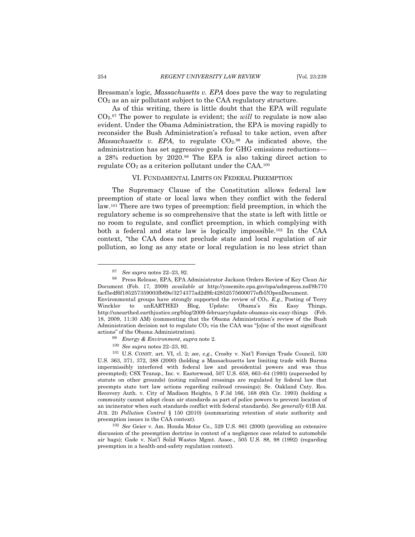Bressman's logic, *Massachusetts v. EPA* does pave the way to regulating CO<sup>2</sup> as an air pollutant subject to the CAA regulatory structure.

As of this writing, there is little doubt that the EPA will regulate CO2. <sup>97</sup> The power to regulate is evident; the *will* to regulate is now also evident. Under the Obama Administration, the EPA is moving rapidly to reconsider the Bush Administration's refusal to take action, even after Massachusetts v. EPA, to regulate  $CO<sub>2</sub>$ .<sup>98</sup> As indicated above, the administration has set aggressive goals for GHG emissions reductions a 28% reduction by 2020.<sup>99</sup> The EPA is also taking direct action to regulate  $CO<sub>2</sub>$  as a criterion pollutant under the CAA.<sup>100</sup>

#### VI. FUNDAMENTAL LIMITS ON FEDERAL PREEMPTION

The Supremacy Clause of the Constitution allows federal law preemption of state or local laws when they conflict with the federal law.<sup>101</sup> There are two types of preemption: field preemption, in which the regulatory scheme is so comprehensive that the state is left with little or no room to regulate, and conflict preemption, in which complying with both a federal and state law is logically impossible.<sup>102</sup> In the CAA context, "the CAA does not preclude state and local regulation of air pollution, so long as any state or local regulation is no less strict than

<sup>97</sup> *See supra* notes [22](#page-3-0)–[23,](#page-3-1) [92.](#page-14-0)

<sup>98</sup> Press Release, EPA, EPA Administrator Jackson Orders Review of Key Clean Air Document (Feb. 17, 2009) *available at* http://yosemite.epa.gov/opa/admpress.nsf/8b770 facf5edf6f185257359003fb69e/3274377ad2d9fc42852575600077efb5!OpenDocument.

Environmental groups have strongly supported the review of CO<sub>2</sub>. *E.g.*, Posting of Terry Winckler to unEARTHED Blog, Update: Obama's Six Easy Things, Winckler to unEARTHED Blog, Update: Obama's Six Easy Things, http://unearthed.earthjustice.org/blog/2009-february/update-obamas-six-easy-things (Feb. 18, 2009, 11:30 AM) (commenting that the Obama Administration's review of the Bush Administration decision not to regulate  $CO<sub>2</sub>$  via the CAA was "[o]ne of the most significant actions" of the Obama Administration).

<sup>99</sup> *Energy & Environment*, *supra* not[e 2.](#page-0-2)

<sup>100</sup> *See supra* notes [22](#page-3-0)–[23,](#page-3-1) [92.](#page-14-0)

<sup>101</sup> U.S. CONST. art. VI, cl. 2; *see*, *e.g.*, Crosby v. Nat'l Foreign Trade Council, 530 U.S. 363, 371, 372, 388 (2000) (holding a Massachusetts law limiting trade with Burma impermissibly interfered with federal law and presidential powers and was thus preempted); CSX Transp., Inc. v. Easterwood, 507 U.S. 658, 663–64 (1993) (superseded by statute on other grounds) (noting railroad crossings are regulated by federal law that preempts state tort law actions regarding railroad crossings); Se. Oakland Cnty. Res. Recovery Auth. v. City of Madison Heights, 5 F.3d 166, 168 (6th Cir. 1993) (holding a community cannot adopt clean air standards as part of police powers to prevent location of an incinerator when such standards conflict with federal standards). *See generally* 61B AM. JUR. 2D *Pollution Control* § 150 (2010) (summarizing retention of state authority and preemption issues in the CAA context).

<sup>102</sup> *See* Geier v. Am. Honda Motor Co., 529 U.S. 861 (2000) (providing an extensive discussion of the preemption doctrine in context of a negligence case related to automobile air bags); Gade v. Nat'l Solid Wastes Mgmt. Assoc., 505 U.S. 88, 98 (1992) (regarding preemption in a health-and-safety regulation context).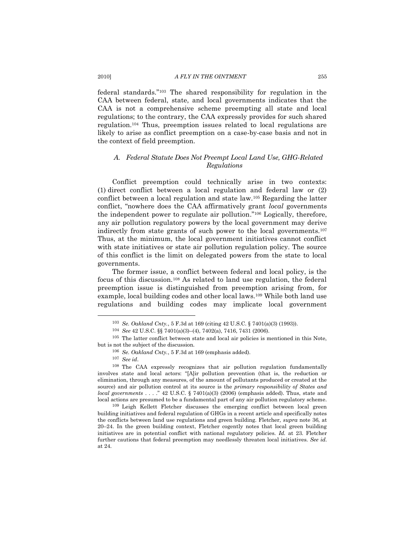#### 2010] *A FLY IN THE OINTMENT* 255

federal standards."<sup>103</sup> The shared responsibility for regulation in the CAA between federal, state, and local governments indicates that the CAA is not a comprehensive scheme preempting all state and local regulations; to the contrary, the CAA expressly provides for such shared regulation.<sup>104</sup> Thus, preemption issues related to local regulations are likely to arise as conflict preemption on a case-by-case basis and not in the context of field preemption.

# *A. Federal Statute Does Not Preempt Local Land Use, GHG-Related Regulations*

Conflict preemption could technically arise in two contexts: (1) direct conflict between a local regulation and federal law or (2) conflict between a local regulation and state law.<sup>105</sup> Regarding the latter conflict, "nowhere does the CAA affirmatively grant *local* governments the independent power to regulate air pollution." $106$  Logically, therefore, any air pollution regulatory powers by the local government may derive indirectly from state grants of such power to the local governments.<sup>107</sup> Thus, at the minimum, the local government initiatives cannot conflict with state initiatives or state air pollution regulation policy. The source of this conflict is the limit on delegated powers from the state to local governments.

The former issue, a conflict between federal and local policy, is the focus of this discussion.<sup>108</sup> As related to land use regulation, the federal preemption issue is distinguished from preemption arising from, for example, local building codes and other local laws.<sup>109</sup> While both land use regulations and building codes may implicate local government

<sup>103</sup> *Se. Oakland Cnty.*, 5 F.3d at 169 (citing 42 U.S.C. § 7401(a)(3) (1993)).

<sup>104</sup> *See* 42 U.S.C. §§ 7401(a)(3)–(4), 7402(a), 7416, 7431 (2006).

<sup>105</sup> The latter conflict between state and local air policies is mentioned in this Note, but is not the subject of the discussion.

<sup>106</sup> *Se. Oakland Cnty.*, 5 F.3d at 169 (emphasis added).

<sup>107</sup> *See id*.

<sup>108</sup> The CAA expressly recognizes that air pollution regulation fundamentally involves state and local actors: "[A]ir pollution prevention (that is, the reduction or elimination, through any measures, of the amount of pollutants produced or created at the source) and air pollution control at its source is the *primary responsibility of States and local governments* . . . . " 42 U.S.C. § 7401(a)(3) (2006) (emphasis added). Thus, state and local actions are presumed to be a fundamental part of any air pollution regulatory scheme.

<sup>109</sup> Leigh Kellett Fletcher discusses the emerging conflict between local green building initiatives and federal regulation of GHGs in a recent article and specifically notes the conflicts between land use regulations and green building. Fletcher, *supra* note [36,](#page-5-1) at 20–24. In the green building context, Fletcher cogently notes that local green building initiatives are in potential conflict with national regulatory policies. *Id.* at 23. Fletcher further cautions that federal preemption may needlessly threaten local initiatives. *See id*. at 24.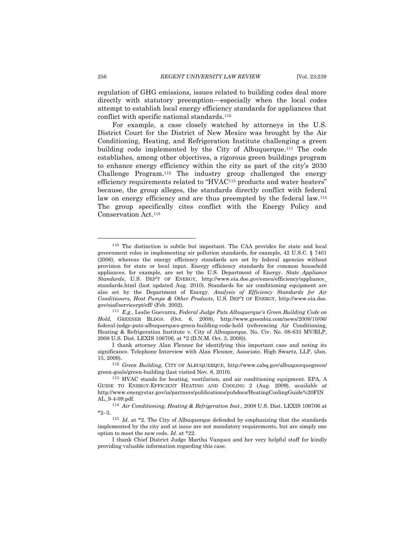regulation of GHG emissions, issues related to building codes deal more directly with statutory preemption—especially when the local codes attempt to establish local energy efficiency standards for appliances that conflict with specific national standards.<sup>110</sup>

For example, a case closely watched by attorneys in the U.S. District Court for the District of New Mexico was brought by the Air Conditioning, Heating, and Refrigeration Institute challenging a green building code implemented by the City of Albuquerque.<sup>111</sup> The code establishes, among other objectives, a rigorous green buildings program to enhance energy efficiency within the city as part of the city's 2030 Challenge Program.<sup>112</sup> The industry group challenged the energy efficiency requirements related to "HVAC<sup>113</sup> products and water heaters" because, the group alleges, the standards directly conflict with federal law on energy efficiency and are thus preempted by the federal law.<sup>114</sup> The group specifically cites conflict with the Energy Policy and Conservation Act.<sup>115</sup>

<sup>110</sup> The distinction is subtle but important. The CAA provides for state and local government roles in implementing air pollution standards, for example, 42 U.S.C. § 7401 (2006), whereas the energy efficiency standards are set by federal agencies without provision for state or local input. Energy efficiency standards for common household appliances, for example, are set by the U.S. Department of Energy. *State Appliance Standards*, U.S. DEP'T OF ENERGY, http://www.eia.doe.gov/emeu/efficiency/appliance\_ standards.html (last updated Aug. 2010). Standards for air conditioning equipment are also set by the Department of Energy. *Analysis of Efficiency Standards for Air Conditioners, Heat Pumps & Other Products*, U.S. DEP'T OF ENERGY, http://www.eia.doe. gov/oiaf/servicerpt/eff/ (Feb. 2002).

<sup>111</sup> *E.g.*, Leslie Guevarra, *Federal Judge Puts Albuquerque's Green Building Code on Hold*, GREENER BLDGS. (Oct. 6, 2008), http://www.greenbiz.com/news/2008/10/06/ federal-judge-puts-albuquerques-green-building-code-hold (referencing Air Conditioning, Heating & Refrigeration Institute v. City of Albuquerque, No. Civ. No. 08-633 MV/RLP, 2008 U.S. Dist. LEXIS 106706, at \*2 (D.N.M. Oct. 3, 2008)).

I thank attorney Alan Flenner for identifying this important case and noting its significance. Telephone Interview with Alan Flenner, Associate, High Swartz, LLP, (Jan. 15, 2009).

<sup>112</sup> *Green Building*, CITY OF ALBUQUERQUE, http://www.cabq.gov/albuquerquegreen/ green-goals/green-building (last visited Nov. 8, 2010).

<sup>113</sup> HVAC stands for heating, ventilation, and air conditioning equipment. EPA, A GUIDE TO ENERGY-EFFICIENT HEATING AND COOLING 2 (Aug. 2009), *available at*  http://www.energystar.gov/ia/partners/publications/pubdocs/HeatingCoolingGuide%20FIN AL\_9-4-09.pdf.

<sup>114</sup> *Air Conditioning, Heating & Refrigeration Inst.*, 2008 U.S. Dist. LEXIS 106706 at \*2–3.

<sup>115</sup> *Id.* at \*2*.* The City of Albuquerque defended by emphasizing that the standards implemented by the city and at issue are not mandatory requirements, but are simply one option to meet the new code. *Id*. at \*22.

I thank Chief District Judge Martha Vazquez and her very helpful staff for kindly providing valuable information regarding this case.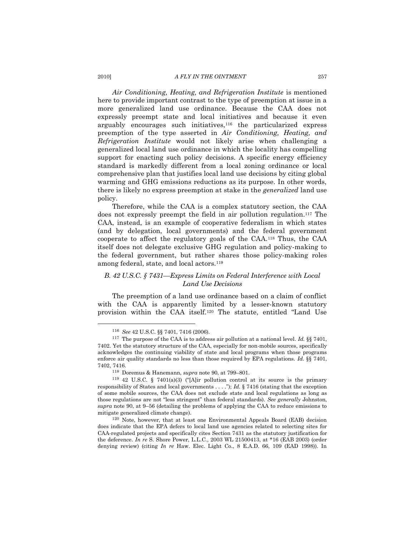#### 2010] *A FLY IN THE OINTMENT* 257

*Air Conditioning, Heating, and Refrigeration Institute* is mentioned here to provide important contrast to the type of preemption at issue in a more generalized land use ordinance. Because the CAA does not expressly preempt state and local initiatives and because it even arguably encourages such initiatives,<sup>116</sup> the particularized express preemption of the type asserted in *Air Conditioning, Heating, and Refrigeration Institute* would not likely arise when challenging a generalized local land use ordinance in which the locality has compelling support for enacting such policy decisions. A specific energy efficiency standard is markedly different from a local zoning ordinance or local comprehensive plan that justifies local land use decisions by citing global warming and GHG emissions reductions as its purpose. In other words, there is likely no express preemption at stake in the *generalized* land use policy.

Therefore, while the CAA is a complex statutory section, the CAA does not expressly preempt the field in air pollution regulation.<sup>117</sup> The CAA, instead, is an example of cooperative federalism in which states (and by delegation, local governments) and the federal government cooperate to affect the regulatory goals of the CAA.<sup>118</sup> Thus, the CAA itself does not delegate exclusive GHG regulation and policy-making to the federal government, but rather shares those policy-making roles among federal, state, and local actors.<sup>119</sup>

# *B. 42 U.S.C. § 7431—Express Limits on Federal Interference with Local Land Use Decisions*

The preemption of a land use ordinance based on a claim of conflict with the CAA is apparently limited by a lesser-known statutory provision within the CAA itself.<sup>120</sup> The statute, entitled "Land Use

<sup>116</sup> *See* 42 U.S.C. §§ 7401, 7416 (2006).

<sup>117</sup> The purpose of the CAA is to address air pollution at a national level. *Id.* §§ 7401, 7402. Yet the statutory structure of the CAA, especially for non-mobile sources, specifically acknowledges the continuing viability of state and local programs when those programs enforce air quality standards no less than those required by EPA regulations. *Id.* §§ 7401, 7402, 7416.

<sup>118</sup> Doremus & Hanemann, *supra* note [90,](#page-13-1) at 799–801.

 $119$  42 U.S.C. § 7401(a)(3) ("[A]ir pollution control at its source is the primary responsibility of States and local governments . . . ."); *Id.* § 7416 (stating that the exception of some mobile sources, the CAA does not exclude state and local regulations as long as those regulations are not "less stringent" than federal standards). *See generally* Johnston, *supra* note [90,](#page-13-1) at 9–56 (detailing the problems of applying the CAA to reduce emissions to mitigate generalized climate change).

<sup>120</sup> Note, however, that at least one Environmental Appeals Board (EAB) decision does indicate that the EPA defers to local land use agencies related to selecting sites for CAA-regulated projects and specifically cites Section 7431 as the statutory justification for the deference. *In re* S. Shore Power, L.L.C., 2003 WL 21500413, at \*16 (EAB 2003) (order denying review) (citing *In re* Haw. Elec. Light Co., 8 E.A.D. 66, 109 (EAD 1998)). In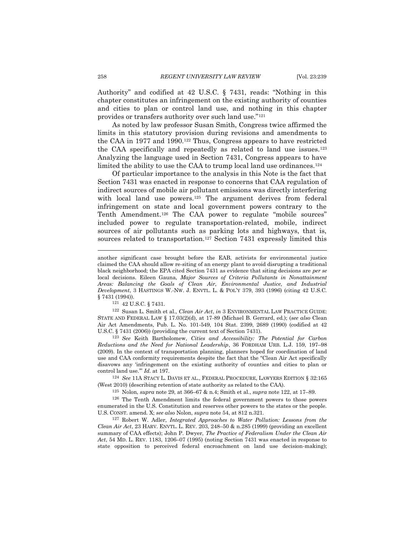Authority" and codified at 42 U.S.C. § 7431, reads: "Nothing in this chapter constitutes an infringement on the existing authority of counties and cities to plan or control land use, and nothing in this chapter provides or transfers authority over such land use."<sup>121</sup>

<span id="page-19-0"></span>As noted by law professor Susan Smith, Congress twice affirmed the limits in this statutory provision during revisions and amendments to the CAA in 1977 and 1990.<sup>122</sup> Thus, Congress appears to have restricted the CAA specifically and repeatedly as related to land use issues.<sup>123</sup> Analyzing the language used in Section 7431, Congress appears to have limited the ability to use the CAA to trump local land use ordinances.<sup>124</sup>

<span id="page-19-1"></span>Of particular importance to the analysis in this Note is the fact that Section 7431 was enacted in response to concerns that CAA regulation of indirect sources of mobile air pollutant emissions was directly interfering with local land use powers.<sup>125</sup> The argument derives from federal infringement on state and local government powers contrary to the Tenth Amendment.<sup>126</sup> The CAA power to regulate "mobile sources" included power to regulate transportation-related, mobile, indirect sources of air pollutants such as parking lots and highways, that is, sources related to transportation.<sup>127</sup> Section 7431 expressly limited this

 $^{121}$  42 U.S.C.  $\S$  7431.

<sup>122</sup> Susan L. Smith et al., *Clean Air Act*, *in* 3 ENVIRONMENTAL LAW PRACTICE GUIDE: STATE AND FEDERAL LAW § 17.03(2)(d), at 17-89 (Michael B. Gerrard, ed.); (*see also* Clean Air Act Amendments, Pub. L. No. 101-549, 104 Stat. 2399, 2689 (1990) (codified at 42 U.S.C. § 7431 (2006)) (providing the current text of Section 7431).

<sup>123</sup> *See* Keith Bartholomew, *Cities and Accessibility: The Potential for Carbon Reductions and the Need for National Leadership*, 36 FORDHAM URB. L.J. 159, 197–98 (2009). In the context of transportation planning, planners hoped for coordination of land use and CAA conformity requirements despite the fact that the "Clean Air Act specifically disavows any ‗infringement on the existing authority of counties and cities to plan or control land use." *Id.* at 197.

<sup>124</sup> *See* 11A STACY L. DAVIS ET AL., FEDERAL PROCEDURE, LAWYERS EDITION § 32:165 (West 2010) (describing retention of state authority as related to the CAA).

<sup>125</sup> Nolon, *supra* note [29,](#page-4-0) at 366–67 & n.4; Smith et al., *supra* not[e 122,](#page-19-0) at 17–89.

<sup>126</sup> The Tenth Amendment limits the federal government powers to those powers enumerated in the U.S. Constitution and reserves other powers to the states or the people. U.S. CONST. amend. X; *see also* Nolon, *supra* not[e 54,](#page-8-2) at 812 n.321.

<sup>127</sup> Robert W. Adler, *Integrated Approaches to Water Pollution: Lessons from the Clean Air Act*, 23 HARV. ENVTL. L. REV. 203, 248–50 & n.285 (1999) (providing an excellent summary of CAA effects); John P. Dwyer, *The Practice of Federalism Under the Clean Air Act*, 54 MD. L. REV. 1183, 1206–07 (1995) (noting Section 7431 was enacted in response to state opposition to perceived federal encroachment on land use decision-making);

<span id="page-19-2"></span>another significant case brought before the EAB, activists for environmental justice claimed the CAA should allow re-siting of an energy plant to avoid disrupting a traditional black neighborhood; the EPA cited Section 7431 as evidence that siting decisions are *per se* local decisions. Eileen Gauna, *Major Sources of Criteria Pollutants in Nonattainment Areas: Balancing the Goals of Clean Air, Environmental Justice, and Industrial Development*, 3 HASTINGS W.-NW. J. ENVTL. L. & POL'Y 379, 393 (1996) (citing 42 U.S.C. § 7431 (1994)).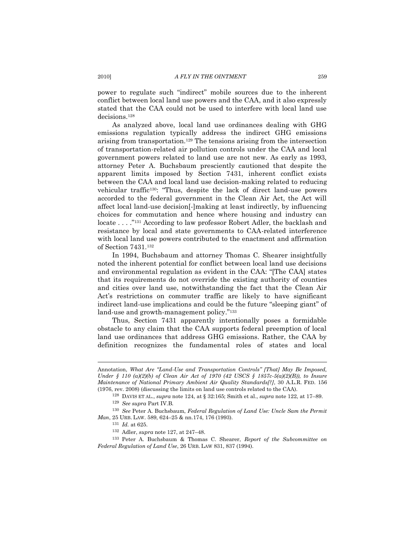power to regulate such "indirect" mobile sources due to the inherent conflict between local land use powers and the CAA, and it also expressly stated that the CAA could not be used to interfere with local land use decisions.<sup>128</sup>

As analyzed above, local land use ordinances dealing with GHG emissions regulation typically address the indirect GHG emissions arising from transportation.<sup>129</sup> The tensions arising from the intersection of transportation-related air pollution controls under the CAA and local government powers related to land use are not new. As early as 1993, attorney Peter A. Buchsbaum presciently cautioned that despite the apparent limits imposed by Section 7431, inherent conflict exists between the CAA and local land use decision-making related to reducing vehicular traffic<sup>130</sup>: "Thus, despite the lack of direct land-use powers accorded to the federal government in the Clean Air Act, the Act will affect local land-use decision[-]making at least indirectly, by influencing choices for commutation and hence where housing and industry can locate . . . ."<sup>131</sup> According to law professor Robert Adler, the backlash and resistance by local and state governments to CAA-related interference with local land use powers contributed to the enactment and affirmation of Section 7431.<sup>132</sup>

In 1994, Buchsbaum and attorney Thomas C. Shearer insightfully noted the inherent potential for conflict between local land use decisions and environmental regulation as evident in the CAA: "[The CAA] states that its requirements do not override the existing authority of counties and cities over land use, notwithstanding the fact that the Clean Air Act's restrictions on commuter traffic are likely to have significant indirect land-use implications and could be the future "sleeping giant" of land-use and growth-management policy."<sup>133</sup>

Thus, Section 7431 apparently intentionally poses a formidable obstacle to any claim that the CAA supports federal preemption of local land use ordinances that address GHG emissions. Rather, the CAA by definition recognizes the fundamental roles of states and local

Annotation, *What Are "Land-Use and Transportation Controls" [That] May Be Imposed, Under § 110 (a)(2)(b) of Clean Air Act of 1970 (42 USCS § 1857c-5(a)(2)(B)), to Insure Maintenance of National Primary Ambient Air Quality Standards[?]*, 30 A.L.R. FED. 156 (1976, rev. 2008) (discussing the limits on land use controls related to the CAA).

<sup>128</sup> DAVIS ET AL., *supra* not[e 124,](#page-19-1) at § 32:165; Smith et al., *supra* not[e 122,](#page-19-0) at 17–89.

<sup>129</sup> *See supra* Part IV.B.

<sup>130</sup> *See* Peter A. Buchsbaum, *Federal Regulation of Land Use: Uncle Sam the Permit Man*, 25 URB. LAW. 589, 624–25 & nn.174, 176 (1993).

<sup>131</sup> *Id.* at 625.

<sup>132</sup> Adler, *supra* not[e 127,](#page-19-2) at 247–48.

<sup>133</sup> Peter A. Buchsbaum & Thomas C. Shearer, *Report of the Subcommittee on Federal Regulation of Land Use*, 26 URB. LAW 831, 837 (1994).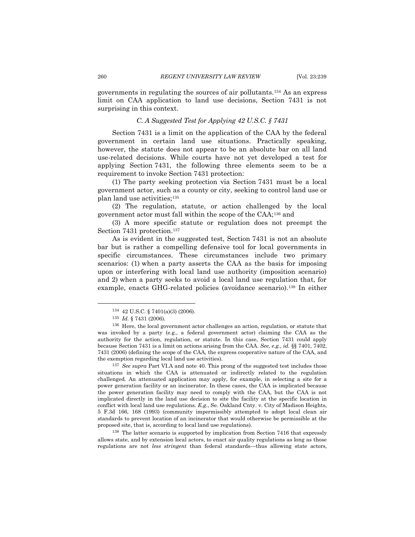governments in regulating the sources of air pollutants.<sup>134</sup> As an express limit on CAA application to land use decisions, Section 7431 is not surprising in this context.

# *C. A Suggested Test for Applying 42 U.S.C. § 7431*

Section 7431 is a limit on the application of the CAA by the federal government in certain land use situations. Practically speaking, however, the statute does not appear to be an absolute bar on all land use-related decisions. While courts have not yet developed a test for applying Section 7431, the following three elements seem to be a requirement to invoke Section 7431 protection:

(1) The party seeking protection via Section 7431 must be a local government actor, such as a county or city, seeking to control land use or plan land use activities;<sup>135</sup>

(2) The regulation, statute, or action challenged by the local government actor must fall within the scope of the CAA;<sup>136</sup> and

(3) A more specific statute or regulation does not preempt the Section 7431 protection.<sup>137</sup>

As is evident in the suggested test, Section 7431 is not an absolute bar but is rather a compelling defensive tool for local governments in specific circumstances. These circumstances include two primary scenarios: (1) when a party asserts the CAA as the basis for imposing upon or interfering with local land use authority (imposition scenario) and 2) when a party seeks to avoid a local land use regulation that, for example, enacts GHG-related policies (avoidance scenario).<sup>138</sup> In either

 $\overline{a}$ 

<sup>137</sup> *See supra* Part VI.A and note [40.](#page-6-1) This prong of the suggested test includes those situations in which the CAA is attenuated or indirectly related to the regulation challenged. An attenuated application may apply, for example, in selecting a site for a power generation facility or an incinerator. In these cases, the CAA is implicated because the power generation facility may need to comply with the CAA, but the CAA is not implicated directly in the land use decision to site the facility at the specific location in conflict with local land use regulations. *E.g.*, Se. Oakland Cnty. v. City of Madison Heights, 5 F.3d 166, 168 (1993) (community impermissibly attempted to adopt local clean air standards to prevent location of an incinerator that would otherwise be permissible at the proposed site, that is, according to local land use regulations).

<sup>138</sup> The latter scenario is supported by implication from Section 7416 that expressly allows state, and by extension local actors, to enact air quality regulations as long as those regulations are not *less stringent* than federal standards—thus allowing state actors,

<sup>134</sup> 42 U.S.C. § 7401(a)(3) (2006).

<sup>135</sup> *Id.* § 7431 (2006).

<sup>136</sup> Here, the local government actor challenges an action, regulation, or statute that was invoked by a party (e.g., a federal government actor) claiming the CAA as the authority for the action, regulation, or statute. In this case, Section 7431 could apply because Section 7431 is a limit on actions arising from the CAA. *See, e.g., id.* §§ 7401, 7402, 7431 (2006) (defining the scope of the CAA, the express cooperative nature of the CAA, and the exemption regarding local land use activities).